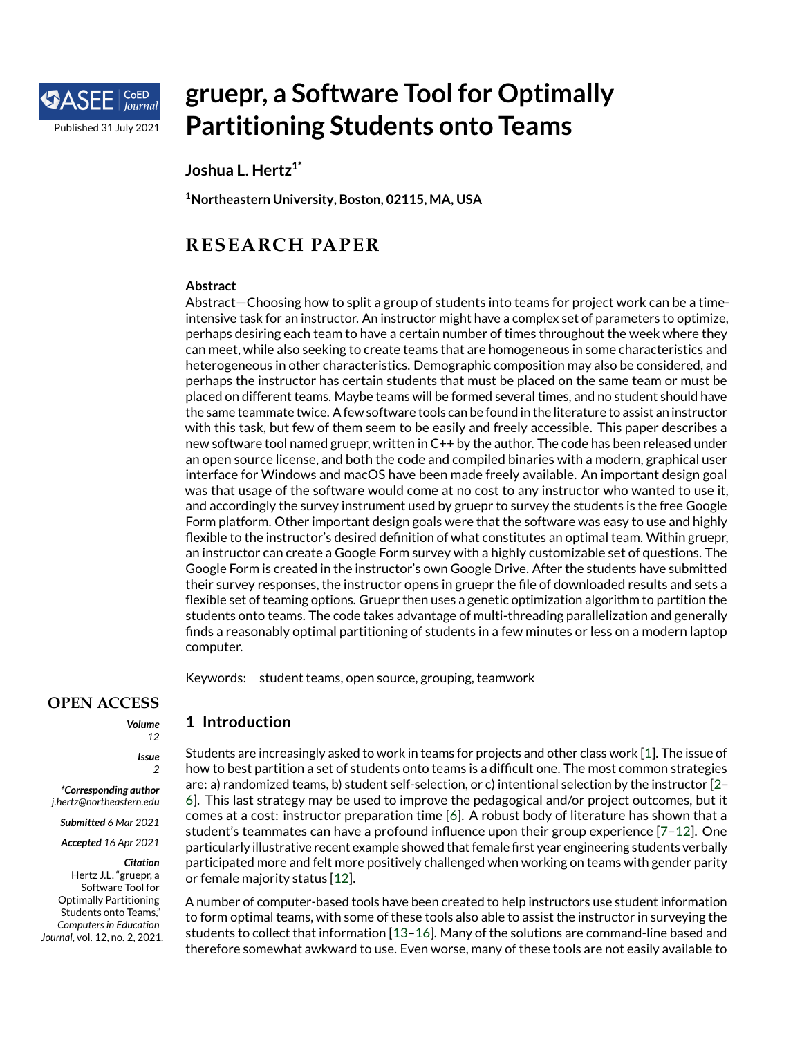

# **gruepr, a Software Tool for Optimally Partitioning Students onto Teams**

**Joshua L. Hertz1\***

**<sup>1</sup>Northeastern University, Boston, 02115, MA, USA**

# **RESEARCH PAPER**

#### **Abstract**

Abstract—Choosing how to split a group of students into teams for project work can be a timeintensive task for an instructor. An instructor might have a complex set of parameters to optimize, perhaps desiring each team to have a certain number of times throughout the week where they can meet, while also seeking to create teams that are homogeneous in some characteristics and heterogeneous in other characteristics. Demographic composition may also be considered, and perhaps the instructor has certain students that must be placed on the same team or must be placed on different teams. Maybe teams will be formed several times, and no student should have the same teammate twice. A few software tools can be found in the literature to assist an instructor with this task, but few of them seem to be easily and freely accessible. This paper describes a new software tool named gruepr, written in C++ by the author. The code has been released under an open source license, and both the code and compiled binaries with a modern, graphical user interface for Windows and macOS have been made freely available. An important design goal was that usage of the software would come at no cost to any instructor who wanted to use it, and accordingly the survey instrument used by gruepr to survey the students is the free Google Form platform. Other important design goals were that the software was easy to use and highly flexible to the instructor's desired definition of what constitutes an optimal team. Within gruepr, an instructor can create a Google Form survey with a highly customizable set of questions. The Google Form is created in the instructor's own Google Drive. After the students have submitted their survey responses, the instructor opens in gruepr the file of downloaded results and sets a flexible set of teaming options. Gruepr then uses a genetic optimization algorithm to partition the students onto teams. The code takes advantage of multi-threading parallelization and generally finds a reasonably optimal partitioning of students in a few minutes or less on a modern laptop computer.

Keywords: student teams, open source, grouping, teamwork

# **OPEN ACCESS**

*Volume 12*

> *Issue 2*

*\*Corresponding author j.hertz@northeastern.edu*

*Submitted 6 Mar 2021*

*Accepted 16 Apr 2021*

*Citation* Hertz J.L. "gruepr, a Software Tool for Optimally Partitioning Students onto Teams," *Computers in Education Journal*, vol. 12, no. 2, 2021. **1 Introduction**

Students are increasingly asked to work in teams for projects and other class work [\[1\]](#page-13-0). The issue of how to best partition a set of students onto teams is a difficult one. The most common strategies are: a) randomized teams, b) student self-selection, or c) intentional selection by the instructor [\[2–](#page-13-1) [6\]](#page-13-2). This last strategy may be used to improve the pedagogical and/or project outcomes, but it comes at a cost: instructor preparation time [\[6\]](#page-13-2). A robust body of literature has shown that a student's teammates can have a profound influence upon their group experience [\[7–](#page-13-3)[12\]](#page-14-0). One particularly illustrative recent example showed that female first year engineering students verbally participated more and felt more positively challenged when working on teams with gender parity or female majority status [\[12\]](#page-14-0).

A number of computer-based tools have been created to help instructors use student information to form optimal teams, with some of these tools also able to assist the instructor in surveying the students to collect that information [\[13](#page-14-1)[–16\]](#page-14-2). Many of the solutions are command-line based and therefore somewhat awkward to use. Even worse, many of these tools are not easily available to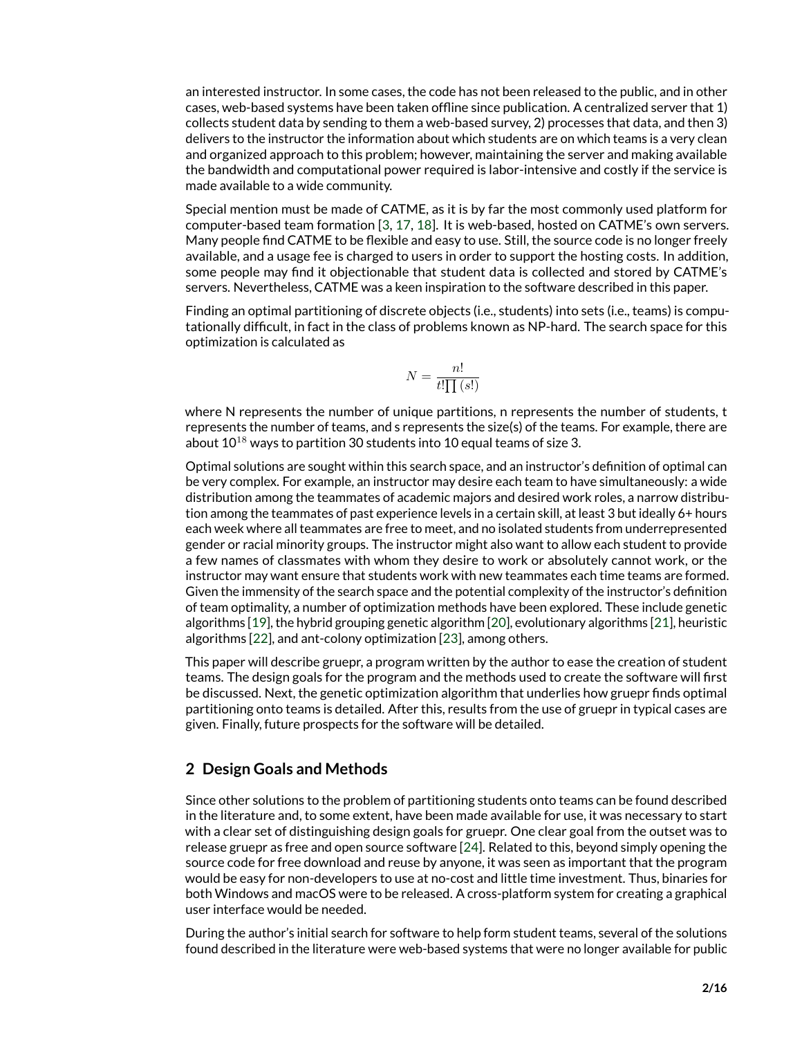an interested instructor. In some cases, the code has not been released to the public, and in other cases, web-based systems have been taken offline since publication. A centralized server that 1) collects student data by sending to them a web-based survey, 2) processes that data, and then 3) delivers to the instructor the information about which students are on which teams is a very clean and organized approach to this problem; however, maintaining the server and making available the bandwidth and computational power required is labor-intensive and costly if the service is made available to a wide community.

Special mention must be made of CATME, as it is by far the most commonly used platform for computer-based team formation [\[3,](#page-13-4) [17,](#page-14-3) [18\]](#page-14-4). It is web-based, hosted on CATME's own servers. Many people find CATME to be flexible and easy to use. Still, the source code is no longer freely available, and a usage fee is charged to users in order to support the hosting costs. In addition, some people may find it objectionable that student data is collected and stored by CATME's servers. Nevertheless, CATME was a keen inspiration to the software described in this paper.

Finding an optimal partitioning of discrete objects (i.e., students) into sets (i.e., teams) is computationally difficult, in fact in the class of problems known as NP-hard. The search space for this optimization is calculated as

$$
N=\frac{n!}{t!\prod\left(s!\right)}
$$

where N represents the number of unique partitions, n represents the number of students, t represents the number of teams, and s represents the size(s) of the teams. For example, there are about  $10^{18}$  ways to partition 30 students into 10 equal teams of size 3.

Optimal solutions are sought within this search space, and an instructor's definition of optimal can be very complex. For example, an instructor may desire each team to have simultaneously: a wide distribution among the teammates of academic majors and desired work roles, a narrow distribution among the teammates of past experience levels in a certain skill, at least 3 but ideally 6+ hours each week where all teammates are free to meet, and no isolated students from underrepresented gender or racial minority groups. The instructor might also want to allow each student to provide a few names of classmates with whom they desire to work or absolutely cannot work, or the instructor may want ensure that students work with new teammates each time teams are formed. Given the immensity of the search space and the potential complexity of the instructor's definition of team optimality, a number of optimization methods have been explored. These include genetic algorithms [\[19\]](#page-14-5), the hybrid grouping genetic algorithm [\[20\]](#page-14-6), evolutionary algorithms [\[21\]](#page-14-7), heuristic algorithms [\[22\]](#page-14-8), and ant-colony optimization [\[23\]](#page-14-9), among others.

This paper will describe gruepr, a program written by the author to ease the creation of student teams. The design goals for the program and the methods used to create the software will first be discussed. Next, the genetic optimization algorithm that underlies how gruepr finds optimal partitioning onto teams is detailed. After this, results from the use of gruepr in typical cases are given. Finally, future prospects for the software will be detailed.

# **2 Design Goals and Methods**

Since other solutions to the problem of partitioning students onto teams can be found described in the literature and, to some extent, have been made available for use, it was necessary to start with a clear set of distinguishing design goals for gruepr. One clear goal from the outset was to release gruepr as free and open source software [\[24\]](#page-14-10). Related to this, beyond simply opening the source code for free download and reuse by anyone, it was seen as important that the program would be easy for non-developers to use at no-cost and little time investment. Thus, binaries for both Windows and macOS were to be released. A cross-platform system for creating a graphical user interface would be needed.

During the author's initial search for software to help form student teams, several of the solutions found described in the literature were web-based systems that were no longer available for public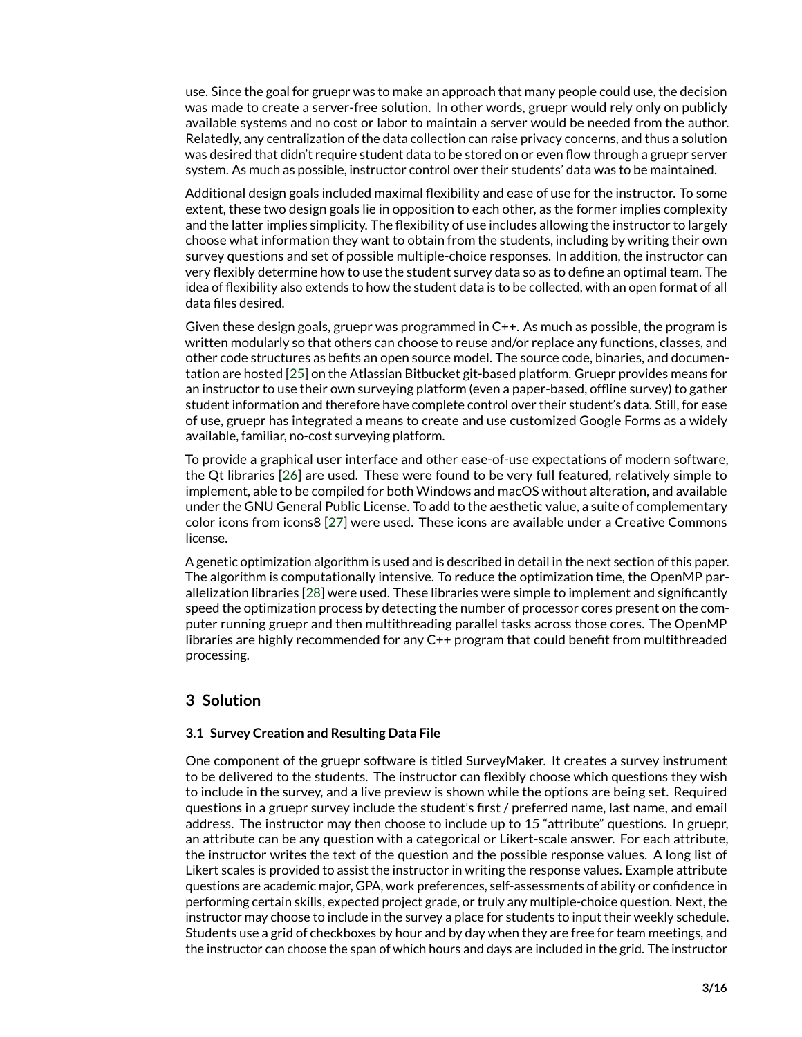use. Since the goal for gruepr was to make an approach that many people could use, the decision was made to create a server-free solution. In other words, gruepr would rely only on publicly available systems and no cost or labor to maintain a server would be needed from the author. Relatedly, any centralization of the data collection can raise privacy concerns, and thus a solution was desired that didn't require student data to be stored on or even flow through a gruepr server system. As much as possible, instructor control over their students' data was to be maintained.

Additional design goals included maximal flexibility and ease of use for the instructor. To some extent, these two design goals lie in opposition to each other, as the former implies complexity and the latter implies simplicity. The flexibility of use includes allowing the instructor to largely choose what information they want to obtain from the students, including by writing their own survey questions and set of possible multiple-choice responses. In addition, the instructor can very flexibly determine how to use the student survey data so as to define an optimal team. The idea of flexibility also extends to how the student data is to be collected, with an open format of all data files desired.

Given these design goals, gruepr was programmed in C++. As much as possible, the program is written modularly so that others can choose to reuse and/or replace any functions, classes, and other code structures as befits an open source model. The source code, binaries, and documentation are hosted [\[25\]](#page-14-11) on the Atlassian Bitbucket git-based platform. Gruepr provides means for an instructor to use their own surveying platform (even a paper-based, offline survey) to gather student information and therefore have complete control over their student's data. Still, for ease of use, gruepr has integrated a means to create and use customized Google Forms as a widely available, familiar, no-cost surveying platform.

To provide a graphical user interface and other ease-of-use expectations of modern software, the Qt libraries [\[26\]](#page-15-0) are used. These were found to be very full featured, relatively simple to implement, able to be compiled for both Windows and macOS without alteration, and available under the GNU General Public License. To add to the aesthetic value, a suite of complementary color icons from icons8 [\[27\]](#page-15-1) were used. These icons are available under a Creative Commons license.

A genetic optimization algorithm is used and is described in detail in the next section of this paper. The algorithm is computationally intensive. To reduce the optimization time, the OpenMP parallelization libraries [\[28\]](#page-15-2) were used. These libraries were simple to implement and significantly speed the optimization process by detecting the number of processor cores present on the computer running gruepr and then multithreading parallel tasks across those cores. The OpenMP libraries are highly recommended for any C++ program that could benefit from multithreaded processing.

# **3 Solution**

#### **3.1 Survey Creation and Resulting Data File**

One component of the gruepr software is titled SurveyMaker. It creates a survey instrument to be delivered to the students. The instructor can flexibly choose which questions they wish to include in the survey, and a live preview is shown while the options are being set. Required questions in a gruepr survey include the student's first / preferred name, last name, and email address. The instructor may then choose to include up to 15 "attribute" questions. In gruepr, an attribute can be any question with a categorical or Likert-scale answer. For each attribute, the instructor writes the text of the question and the possible response values. A long list of Likert scales is provided to assist the instructor in writing the response values. Example attribute questions are academic major, GPA, work preferences, self-assessments of ability or confidence in performing certain skills, expected project grade, or truly any multiple-choice question. Next, the instructor may choose to include in the survey a place for students to input their weekly schedule. Students use a grid of checkboxes by hour and by day when they are free for team meetings, and the instructor can choose the span of which hours and days are included in the grid. The instructor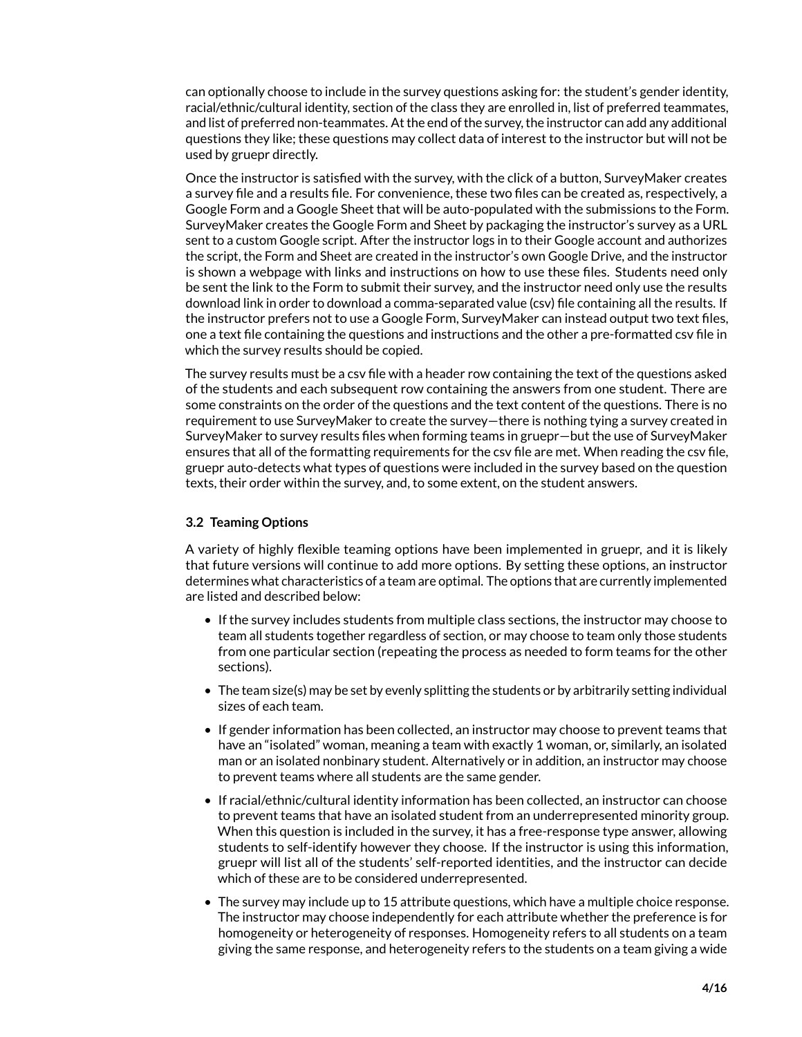can optionally choose to include in the survey questions asking for: the student's gender identity, racial/ethnic/cultural identity, section of the class they are enrolled in, list of preferred teammates, and list of preferred non-teammates. At the end of the survey, the instructor can add any additional questions they like; these questions may collect data of interest to the instructor but will not be used by gruepr directly.

Once the instructor is satisfied with the survey, with the click of a button, SurveyMaker creates a survey file and a results file. For convenience, these two files can be created as, respectively, a Google Form and a Google Sheet that will be auto-populated with the submissions to the Form. SurveyMaker creates the Google Form and Sheet by packaging the instructor's survey as a URL sent to a custom Google script. After the instructor logs in to their Google account and authorizes the script, the Form and Sheet are created in the instructor's own Google Drive, and the instructor is shown a webpage with links and instructions on how to use these files. Students need only be sent the link to the Form to submit their survey, and the instructor need only use the results download link in order to download a comma-separated value (csv) file containing all the results. If the instructor prefers not to use a Google Form, SurveyMaker can instead output two text files, one a text file containing the questions and instructions and the other a pre-formatted csv file in which the survey results should be copied.

The survey results must be a csv file with a header row containing the text of the questions asked of the students and each subsequent row containing the answers from one student. There are some constraints on the order of the questions and the text content of the questions. There is no requirement to use SurveyMaker to create the survey—there is nothing tying a survey created in SurveyMaker to survey results files when forming teams in gruepr—but the use of SurveyMaker ensures that all of the formatting requirements for the csv file are met. When reading the csv file, gruepr auto-detects what types of questions were included in the survey based on the question texts, their order within the survey, and, to some extent, on the student answers.

#### **3.2 Teaming Options**

A variety of highly flexible teaming options have been implemented in gruepr, and it is likely that future versions will continue to add more options. By setting these options, an instructor determines what characteristics of a team are optimal. The options that are currently implemented are listed and described below:

- If the survey includes students from multiple class sections, the instructor may choose to team all students together regardless of section, or may choose to team only those students from one particular section (repeating the process as needed to form teams for the other sections).
- The team size(s) may be set by evenly splitting the students or by arbitrarily setting individual sizes of each team.
- If gender information has been collected, an instructor may choose to prevent teams that have an "isolated" woman, meaning a team with exactly 1 woman, or, similarly, an isolated man or an isolated nonbinary student. Alternatively or in addition, an instructor may choose to prevent teams where all students are the same gender.
- If racial/ethnic/cultural identity information has been collected, an instructor can choose to prevent teams that have an isolated student from an underrepresented minority group. When this question is included in the survey, it has a free-response type answer, allowing students to self-identify however they choose. If the instructor is using this information, gruepr will list all of the students' self-reported identities, and the instructor can decide which of these are to be considered underrepresented.
- The survey may include up to 15 attribute questions, which have a multiple choice response. The instructor may choose independently for each attribute whether the preference is for homogeneity or heterogeneity of responses. Homogeneity refers to all students on a team giving the same response, and heterogeneity refers to the students on a team giving a wide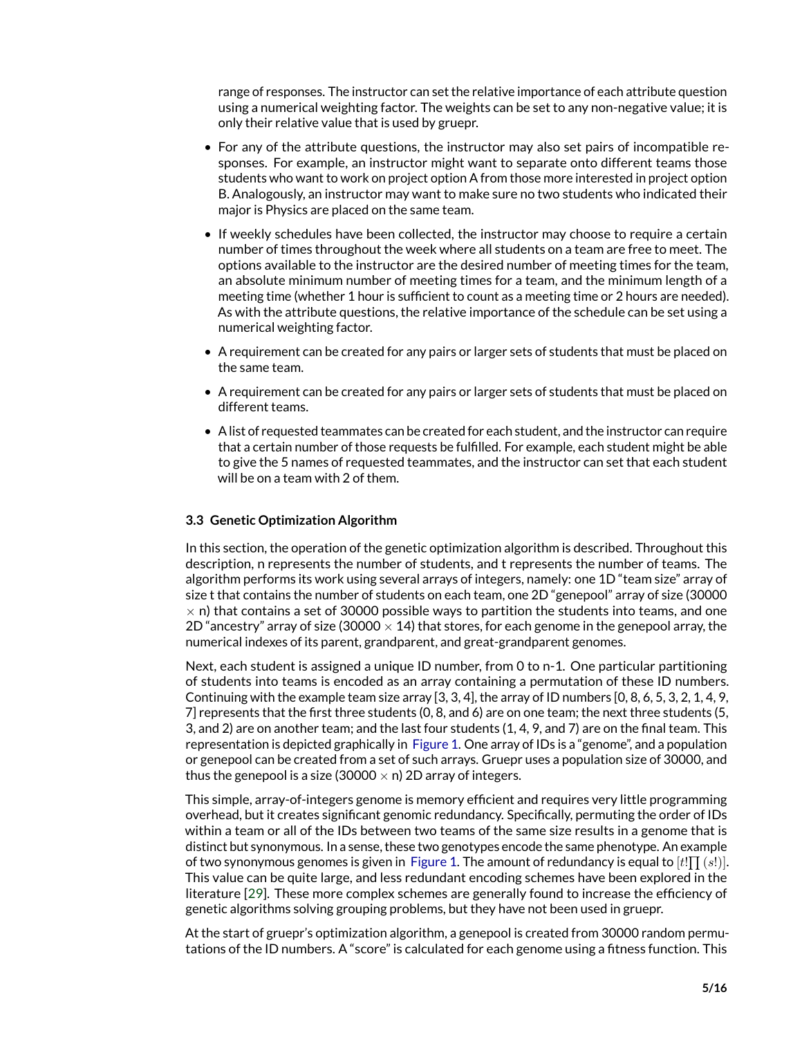range of responses. The instructor can set the relative importance of each attribute question using a numerical weighting factor. The weights can be set to any non-negative value; it is only their relative value that is used by gruepr.

- For any of the attribute questions, the instructor may also set pairs of incompatible responses. For example, an instructor might want to separate onto different teams those students who want to work on project option A from those more interested in project option B. Analogously, an instructor may want to make sure no two students who indicated their major is Physics are placed on the same team.
- If weekly schedules have been collected, the instructor may choose to require a certain number of times throughout the week where all students on a team are free to meet. The options available to the instructor are the desired number of meeting times for the team, an absolute minimum number of meeting times for a team, and the minimum length of a meeting time (whether 1 hour is sufficient to count as a meeting time or 2 hours are needed). As with the attribute questions, the relative importance of the schedule can be set using a numerical weighting factor.
- A requirement can be created for any pairs or larger sets of students that must be placed on the same team.
- A requirement can be created for any pairs or larger sets of students that must be placed on different teams.
- A list of requested teammates can be created for each student, and the instructor can require that a certain number of those requests be fulfilled. For example, each student might be able to give the 5 names of requested teammates, and the instructor can set that each student will be on a team with 2 of them.

#### **3.3 Genetic Optimization Algorithm**

In this section, the operation of the genetic optimization algorithm is described. Throughout this description, n represents the number of students, and t represents the number of teams. The algorithm performs its work using several arrays of integers, namely: one 1D "team size" array of size t that contains the number of students on each team, one 2D "genepool" array of size (30000  $\times$  n) that contains a set of 30000 possible ways to partition the students into teams, and one 2D "ancestry" array of size (30000  $\times$  14) that stores, for each genome in the genepool array, the numerical indexes of its parent, grandparent, and great-grandparent genomes.

Next, each student is assigned a unique ID number, from 0 to n-1. One particular partitioning of students into teams is encoded as an array containing a permutation of these ID numbers. Continuing with the example team size array [3, 3, 4], the array of ID numbers [0, 8, 6, 5, 3, 2, 1, 4, 9, 7] represents that the first three students (0, 8, and 6) are on one team; the next three students (5, 3, and 2) are on another team; and the last four students (1, 4, 9, and 7) are on the final team. This representation is depicted graphically in [Figure 1.](#page-5-0) One array of IDs is a "genome", and a population or genepool can be created from a set of such arrays. Gruepr uses a population size of 30000, and thus the genepool is a size (30000  $\times$  n) 2D array of integers.

This simple, array-of-integers genome is memory efficient and requires very little programming overhead, but it creates significant genomic redundancy. Specifically, permuting the order of IDs within a team or all of the IDs between two teams of the same size results in a genome that is distinct but synonymous. In a sense, these two genotypes encode the same phenotype. An example of two synonymous genomes is given in [Figure 1.](#page-5-0) The amount of redundancy is equal to  $[t! \prod(s!)].$ This value can be quite large, and less redundant encoding schemes have been explored in the literature [\[29\]](#page-15-3). These more complex schemes are generally found to increase the efficiency of genetic algorithms solving grouping problems, but they have not been used in gruepr.

At the start of gruepr's optimization algorithm, a genepool is created from 30000 random permutations of the ID numbers. A "score" is calculated for each genome using a fitness function. This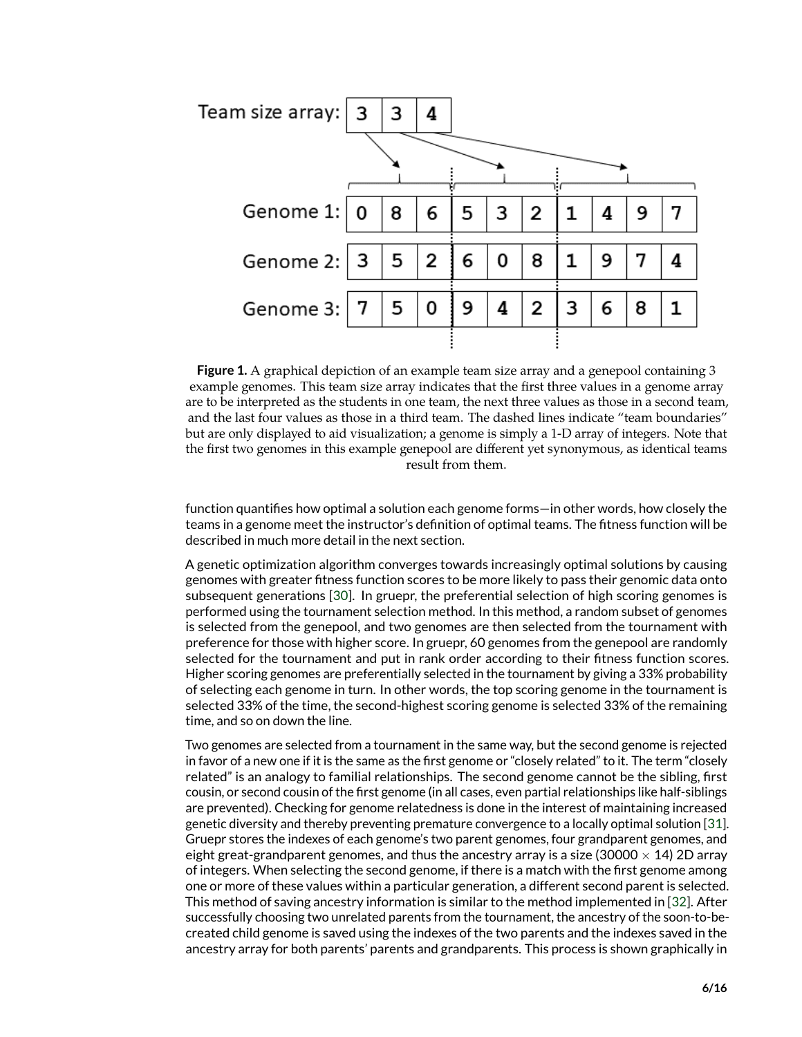

<span id="page-5-0"></span>**Figure 1.** A graphical depiction of an example team size array and a genepool containing 3 example genomes. This team size array indicates that the first three values in a genome array are to be interpreted as the students in one team, the next three values as those in a second team, and the last four values as those in a third team. The dashed lines indicate "team boundaries" but are only displayed to aid visualization; a genome is simply a 1-D array of integers. Note that the first two genomes in this example genepool are different yet synonymous, as identical teams result from them.

function quantifies how optimal a solution each genome forms—in other words, how closely the teams in a genome meet the instructor's definition of optimal teams. The fitness function will be described in much more detail in the next section.

A genetic optimization algorithm converges towards increasingly optimal solutions by causing genomes with greater fitness function scores to be more likely to pass their genomic data onto subsequent generations [\[30\]](#page-15-4). In gruepr, the preferential selection of high scoring genomes is performed using the tournament selection method. In this method, a random subset of genomes is selected from the genepool, and two genomes are then selected from the tournament with preference for those with higher score. In gruepr, 60 genomes from the genepool are randomly selected for the tournament and put in rank order according to their fitness function scores. Higher scoring genomes are preferentially selected in the tournament by giving a 33% probability of selecting each genome in turn. In other words, the top scoring genome in the tournament is selected 33% of the time, the second-highest scoring genome is selected 33% of the remaining time, and so on down the line.

Two genomes are selected from a tournament in the same way, but the second genome is rejected in favor of a new one if it is the same as the first genome or "closely related" to it. The term "closely related" is an analogy to familial relationships. The second genome cannot be the sibling, first cousin, or second cousin of the first genome (in all cases, even partial relationships like half-siblings are prevented). Checking for genome relatedness is done in the interest of maintaining increased genetic diversity and thereby preventing premature convergence to a locally optimal solution [\[31\]](#page-15-5). Gruepr stores the indexes of each genome's two parent genomes, four grandparent genomes, and eight great-grandparent genomes, and thus the ancestry array is a size (30000  $\times$  14) 2D array of integers. When selecting the second genome, if there is a match with the first genome among one or more of these values within a particular generation, a different second parent is selected. This method of saving ancestry information is similar to the method implemented in [\[32\]](#page-15-6). After successfully choosing two unrelated parents from the tournament, the ancestry of the soon-to-becreated child genome is saved using the indexes of the two parents and the indexes saved in the ancestry array for both parents' parents and grandparents. This process is shown graphically in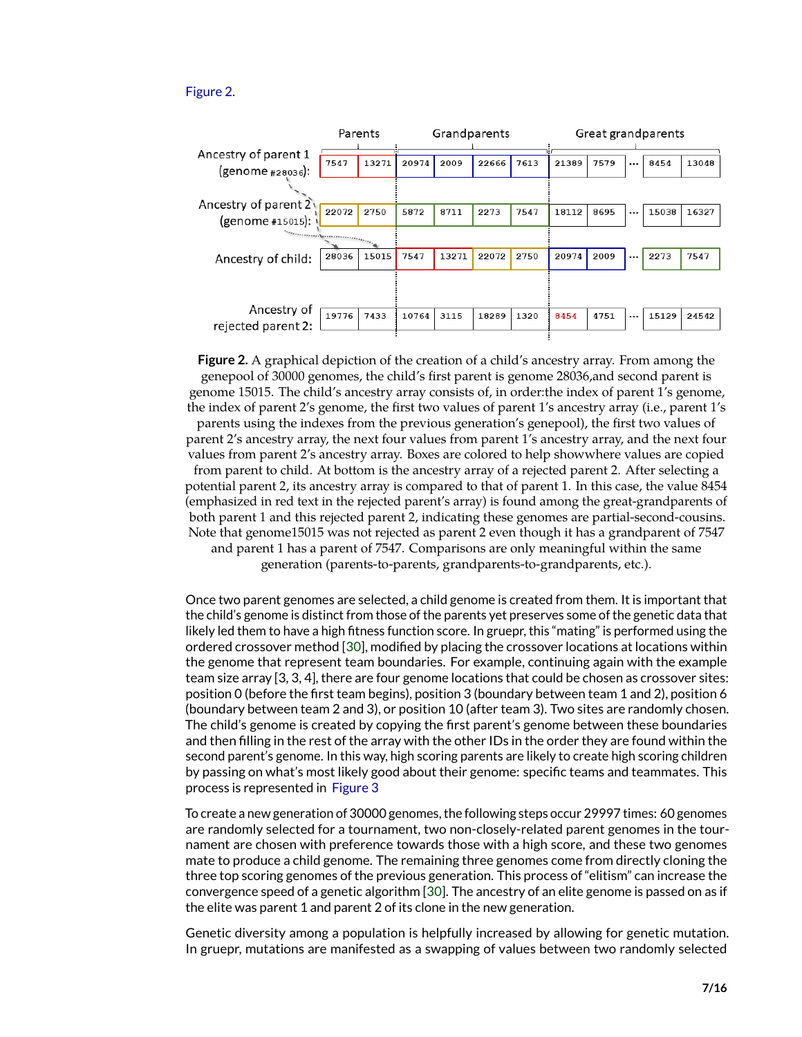#### [Figure 2.](#page-6-0)



<span id="page-6-0"></span>**Figure 2.** A graphical depiction of the creation of a child's ancestry array. From among the genepool of 30000 genomes, the child's first parent is genome 28036,and second parent is genome 15015. The child's ancestry array consists of, in order:the index of parent 1's genome, the index of parent 2's genome, the first two values of parent 1's ancestry array (i.e., parent 1's parents using the indexes from the previous generation's genepool), the first two values of parent 2's ancestry array, the next four values from parent 1's ancestry array, and the next four values from parent 2's ancestry array. Boxes are colored to help showwhere values are copied from parent to child. At bottom is the ancestry array of a rejected parent 2. After selecting a potential parent 2, its ancestry array is compared to that of parent 1. In this case, the value 8454 (emphasized in red text in the rejected parent's array) is found among the great-grandparents of both parent 1 and this rejected parent 2, indicating these genomes are partial-second-cousins. Note that genome15015 was not rejected as parent 2 even though it has a grandparent of 7547 and parent 1 has a parent of 7547. Comparisons are only meaningful within the same generation (parents-to-parents, grandparents-to-grandparents, etc.).

Once two parent genomes are selected, a child genome is created from them. It is important that the child's genome is distinct from those of the parents yet preserves some of the genetic data that likely led them to have a high fitness function score. In gruepr, this "mating" is performed using the ordered crossover method [\[30\]](#page-15-4), modified by placing the crossover locations at locations within the genome that represent team boundaries. For example, continuing again with the example team size array [3, 3, 4], there are four genome locations that could be chosen as crossover sites: position 0 (before the first team begins), position 3 (boundary between team 1 and 2), position 6 (boundary between team 2 and 3), or position 10 (after team 3). Two sites are randomly chosen. The child's genome is created by copying the first parent's genome between these boundaries and then filling in the rest of the array with the other IDs in the order they are found within the second parent's genome. In this way, high scoring parents are likely to create high scoring children by passing on what's most likely good about their genome: specific teams and teammates. This process is represented in [Figure 3](#page-7-0)

To create a new generation of 30000 genomes, the following steps occur 29997 times: 60 genomes are randomly selected for a tournament, two non-closely-related parent genomes in the tournament are chosen with preference towards those with a high score, and these two genomes mate to produce a child genome. The remaining three genomes come from directly cloning the three top scoring genomes of the previous generation. This process of "elitism" can increase the convergence speed of a genetic algorithm [\[30\]](#page-15-4). The ancestry of an elite genome is passed on as if the elite was parent 1 and parent 2 of its clone in the new generation.

Genetic diversity among a population is helpfully increased by allowing for genetic mutation. In gruepr, mutations are manifested as a swapping of values between two randomly selected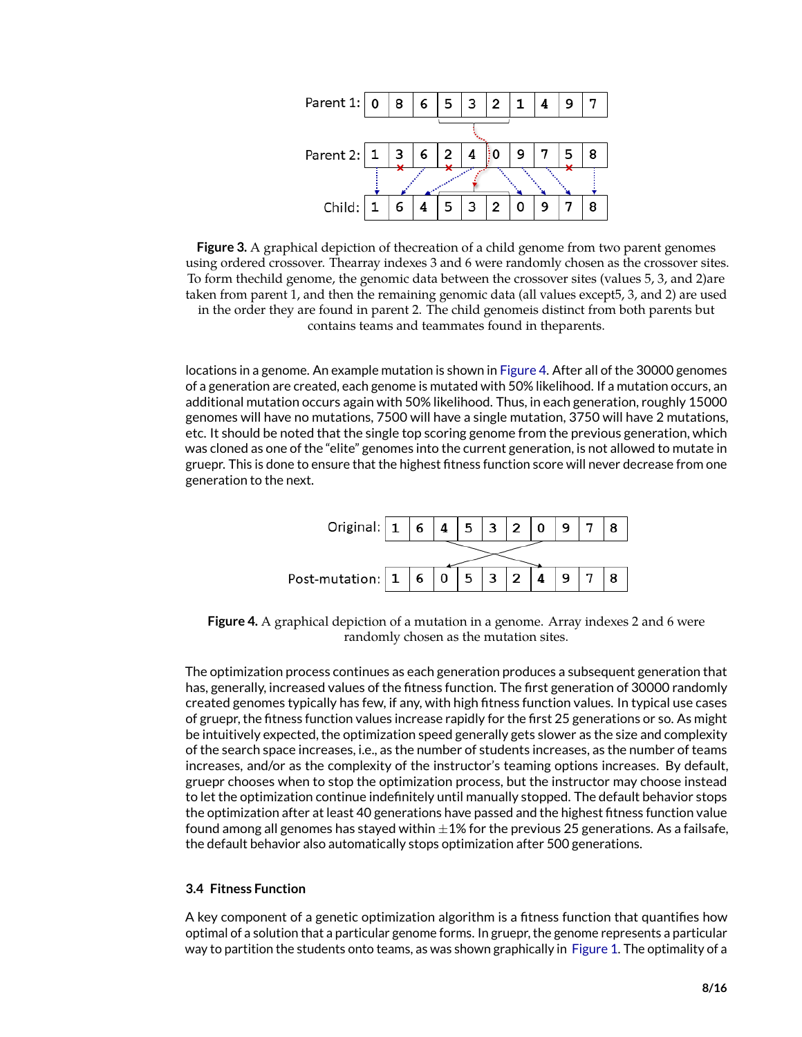

<span id="page-7-0"></span>**Figure 3.** A graphical depiction of thecreation of a child genome from two parent genomes using ordered crossover. Thearray indexes 3 and 6 were randomly chosen as the crossover sites. To form thechild genome, the genomic data between the crossover sites (values 5, 3, and 2)are taken from parent 1, and then the remaining genomic data (all values except5, 3, and 2) are used in the order they are found in parent 2. The child genomeis distinct from both parents but contains teams and teammates found in theparents.

locations in a genome. An example mutation is shown in [Figure 4.](#page-7-1) After all of the 30000 genomes of a generation are created, each genome is mutated with 50% likelihood. If a mutation occurs, an additional mutation occurs again with 50% likelihood. Thus, in each generation, roughly 15000 genomes will have no mutations, 7500 will have a single mutation, 3750 will have 2 mutations, etc. It should be noted that the single top scoring genome from the previous generation, which was cloned as one of the "elite" genomes into the current generation, is not allowed to mutate in gruepr. This is done to ensure that the highest fitness function score will never decrease from one generation to the next.



<span id="page-7-1"></span>**Figure 4.** A graphical depiction of a mutation in a genome. Array indexes 2 and 6 were randomly chosen as the mutation sites.

The optimization process continues as each generation produces a subsequent generation that has, generally, increased values of the fitness function. The first generation of 30000 randomly created genomes typically has few, if any, with high fitness function values. In typical use cases of gruepr, the fitness function values increase rapidly for the first 25 generations or so. As might be intuitively expected, the optimization speed generally gets slower as the size and complexity of the search space increases, i.e., as the number of students increases, as the number of teams increases, and/or as the complexity of the instructor's teaming options increases. By default, gruepr chooses when to stop the optimization process, but the instructor may choose instead to let the optimization continue indefinitely until manually stopped. The default behavior stops the optimization after at least 40 generations have passed and the highest fitness function value found among all genomes has stayed within  $\pm 1\%$  for the previous 25 generations. As a failsafe, the default behavior also automatically stops optimization after 500 generations.

#### **3.4 Fitness Function**

A key component of a genetic optimization algorithm is a fitness function that quantifies how optimal of a solution that a particular genome forms. In gruepr, the genome represents a particular way to partition the students onto teams, as was shown graphically in [Figure 1.](#page-5-0) The optimality of a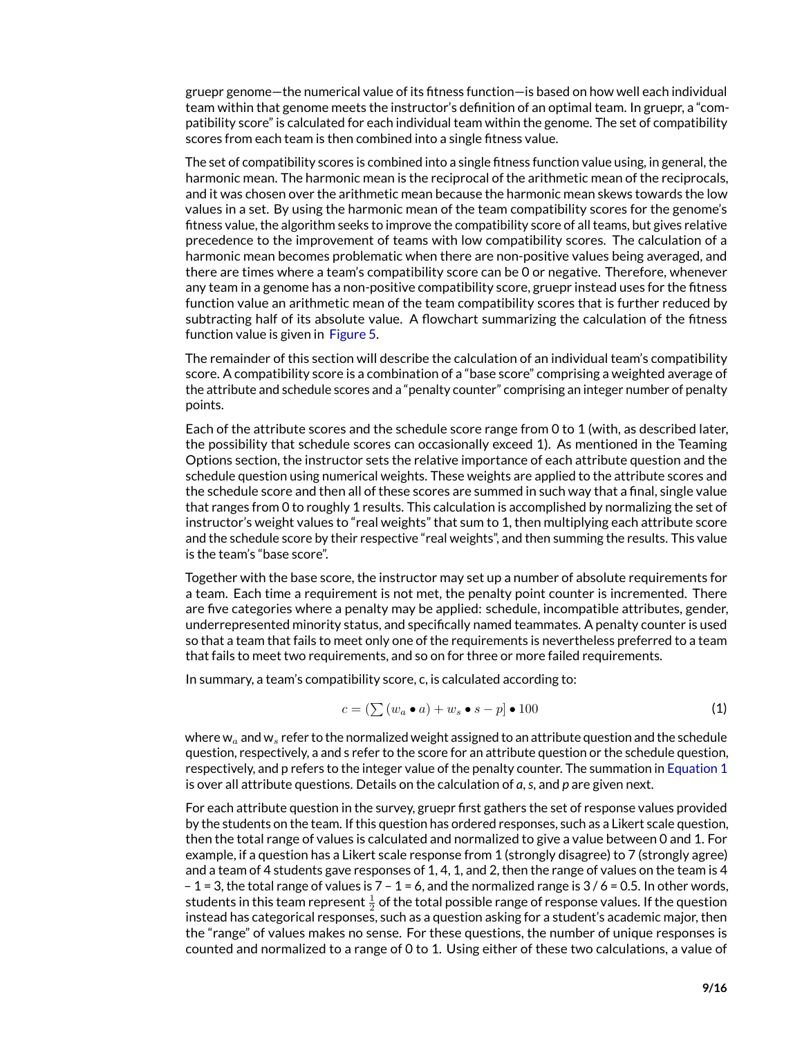gruepr genome—the numerical value of its fitness function—is based on how well each individual team within that genome meets the instructor's definition of an optimal team. In gruepr, a "compatibility score" is calculated for each individual team within the genome. The set of compatibility scores from each team is then combined into a single fitness value.

The set of compatibility scores is combined into a single fitness function value using, in general, the harmonic mean. The harmonic mean is the reciprocal of the arithmetic mean of the reciprocals, and it was chosen over the arithmetic mean because the harmonic mean skews towards the low values in a set. By using the harmonic mean of the team compatibility scores for the genome's fitness value, the algorithm seeks to improve the compatibility score of all teams, but gives relative precedence to the improvement of teams with low compatibility scores. The calculation of a harmonic mean becomes problematic when there are non-positive values being averaged, and there are times where a team's compatibility score can be 0 or negative. Therefore, whenever any team in a genome has a non-positive compatibility score, gruepr instead uses for the fitness function value an arithmetic mean of the team compatibility scores that is further reduced by subtracting half of its absolute value. A flowchart summarizing the calculation of the fitness function value is given in [Figure 5.](#page-9-0)

The remainder of this section will describe the calculation of an individual team's compatibility score. A compatibility score is a combination of a "base score" comprising a weighted average of the attribute and schedule scores and a "penalty counter" comprising an integer number of penalty points.

Each of the attribute scores and the schedule score range from 0 to 1 (with, as described later, the possibility that schedule scores can occasionally exceed 1). As mentioned in the Teaming Options section, the instructor sets the relative importance of each attribute question and the schedule question using numerical weights. These weights are applied to the attribute scores and the schedule score and then all of these scores are summed in such way that a final, single value that ranges from 0 to roughly 1 results. This calculation is accomplished by normalizing the set of instructor's weight values to "real weights" that sum to 1, then multiplying each attribute score and the schedule score by their respective "real weights", and then summing the results. This value is the team's "base score".

Together with the base score, the instructor may set up a number of absolute requirements for a team. Each time a requirement is not met, the penalty point counter is incremented. There are five categories where a penalty may be applied: schedule, incompatible attributes, gender, underrepresented minority status, and specifically named teammates. A penalty counter is used so that a team that fails to meet only one of the requirements is nevertheless preferred to a team that fails to meet two requirements, and so on for three or more failed requirements.

In summary, a team's compatibility score, c, is calculated according to:

<span id="page-8-0"></span>
$$
c = \left(\sum \left(w_a \bullet a\right) + w_s \bullet s - p\right) \bullet 100\tag{1}
$$

where  $w_a$  and  $w_s$  refer to the normalized weight assigned to an attribute question and the schedule question, respectively, a and s refer to the score for an attribute question or the schedule question, respectively, and p refers to the integer value of the penalty counter. The summation in [Equation 1](#page-8-0) is over all attribute questions. Details on the calculation of *a*,*s*, and *p* are given next.

For each attribute question in the survey, gruepr first gathers the set of response values provided by the students on the team. If this question has ordered responses, such as a Likert scale question, then the total range of values is calculated and normalized to give a value between 0 and 1. For example, if a question has a Likert scale response from 1 (strongly disagree) to 7 (strongly agree) and a team of 4 students gave responses of 1, 4, 1, and 2, then the range of values on the team is 4 – 1 = 3, the total range of values is  $7 - 1 = 6$ , and the normalized range is  $3/6 = 0.5$ . In other words, students in this team represent  $\frac{1}{2}$  of the total possible range of response values. If the question instead has categorical responses, such as a question asking for a student's academic major, then the "range" of values makes no sense. For these questions, the number of unique responses is counted and normalized to a range of 0 to 1. Using either of these two calculations, a value of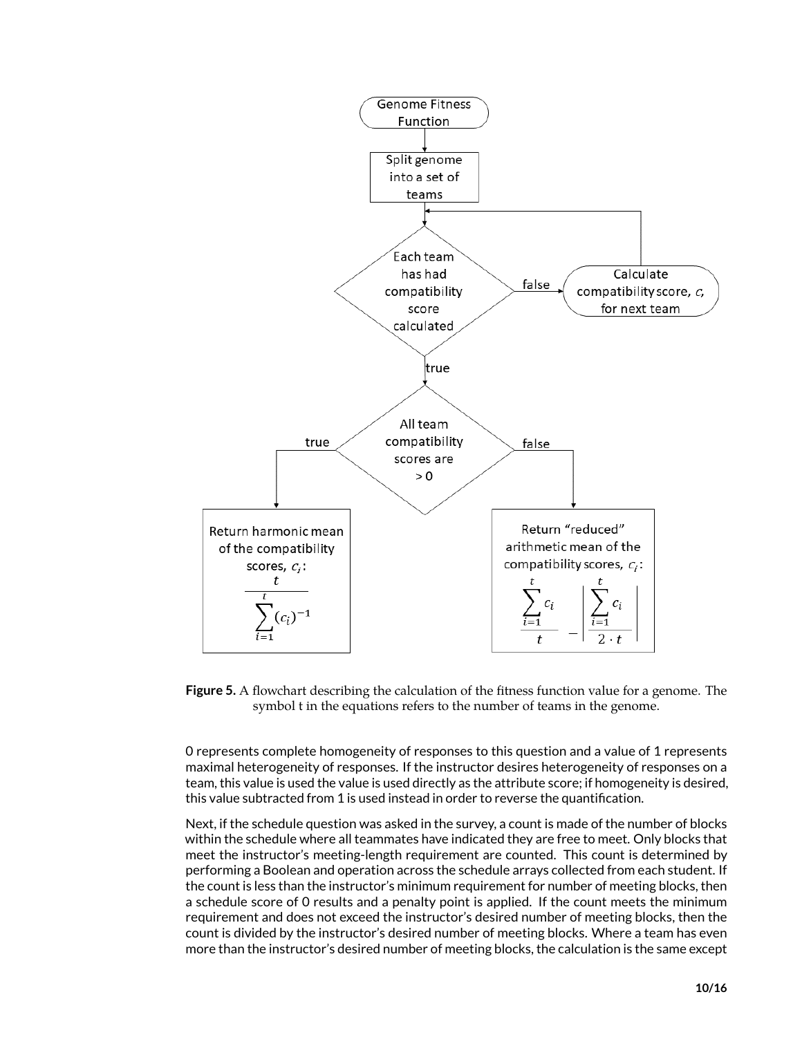

<span id="page-9-0"></span>**Figure 5.** A flowchart describing the calculation of the fitness function value for a genome. The symbol t in the equations refers to the number of teams in the genome.

0 represents complete homogeneity of responses to this question and a value of 1 represents maximal heterogeneity of responses. If the instructor desires heterogeneity of responses on a team, this value is used the value is used directly as the attribute score; if homogeneity is desired, this value subtracted from 1 is used instead in order to reverse the quantification.

Next, if the schedule question was asked in the survey, a count is made of the number of blocks within the schedule where all teammates have indicated they are free to meet. Only blocks that meet the instructor's meeting-length requirement are counted. This count is determined by performing a Boolean and operation across the schedule arrays collected from each student. If the count is less than the instructor's minimum requirement for number of meeting blocks, then a schedule score of 0 results and a penalty point is applied. If the count meets the minimum requirement and does not exceed the instructor's desired number of meeting blocks, then the count is divided by the instructor's desired number of meeting blocks. Where a team has even more than the instructor's desired number of meeting blocks, the calculation is the same except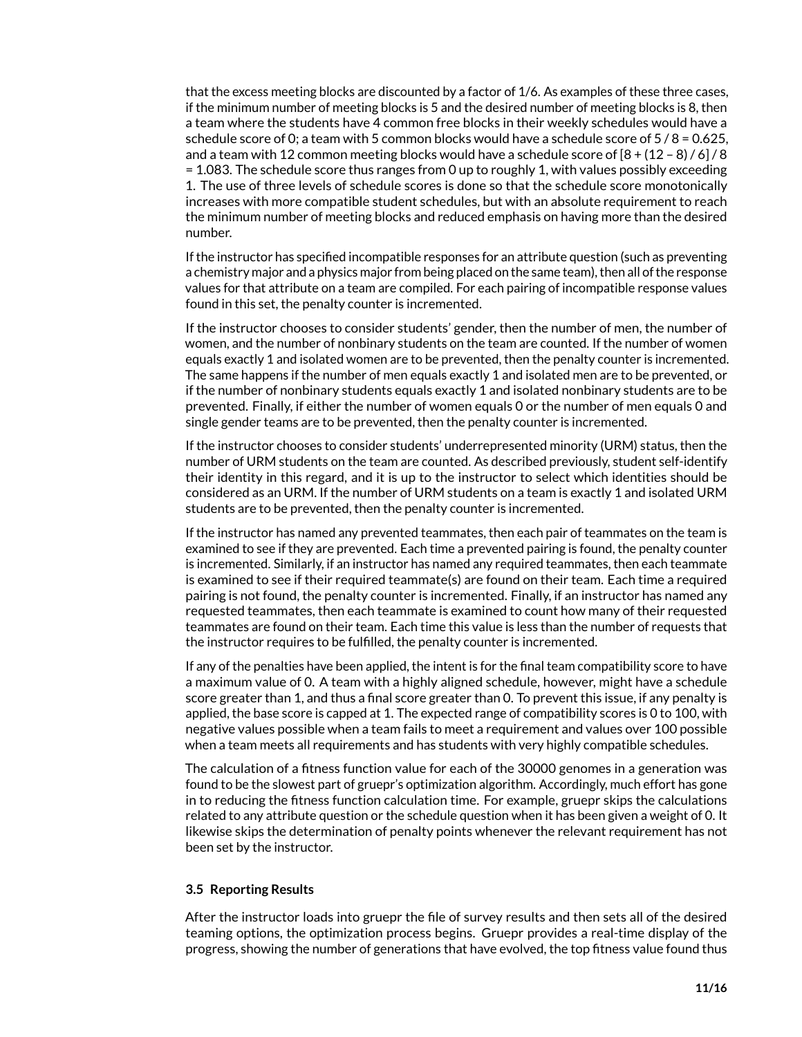that the excess meeting blocks are discounted by a factor of 1/6. As examples of these three cases, if the minimum number of meeting blocks is 5 and the desired number of meeting blocks is 8, then a team where the students have 4 common free blocks in their weekly schedules would have a schedule score of 0; a team with 5 common blocks would have a schedule score of 5 / 8 = 0.625, and a team with 12 common meeting blocks would have a schedule score of  $[8 + (12 - 8) / 6] / 8$ = 1.083. The schedule score thus ranges from 0 up to roughly 1, with values possibly exceeding 1. The use of three levels of schedule scores is done so that the schedule score monotonically increases with more compatible student schedules, but with an absolute requirement to reach the minimum number of meeting blocks and reduced emphasis on having more than the desired number.

If the instructor has specified incompatible responses for an attribute question (such as preventing a chemistry major and a physics major from being placed on the same team), then all of the response values for that attribute on a team are compiled. For each pairing of incompatible response values found in this set, the penalty counter is incremented.

If the instructor chooses to consider students' gender, then the number of men, the number of women, and the number of nonbinary students on the team are counted. If the number of women equals exactly 1 and isolated women are to be prevented, then the penalty counter is incremented. The same happens if the number of men equals exactly 1 and isolated men are to be prevented, or if the number of nonbinary students equals exactly 1 and isolated nonbinary students are to be prevented. Finally, if either the number of women equals 0 or the number of men equals 0 and single gender teams are to be prevented, then the penalty counter is incremented.

If the instructor chooses to consider students' underrepresented minority (URM) status, then the number of URM students on the team are counted. As described previously, student self-identify their identity in this regard, and it is up to the instructor to select which identities should be considered as an URM. If the number of URM students on a team is exactly 1 and isolated URM students are to be prevented, then the penalty counter is incremented.

If the instructor has named any prevented teammates, then each pair of teammates on the team is examined to see if they are prevented. Each time a prevented pairing is found, the penalty counter is incremented. Similarly, if an instructor has named any required teammates, then each teammate is examined to see if their required teammate(s) are found on their team. Each time a required pairing is not found, the penalty counter is incremented. Finally, if an instructor has named any requested teammates, then each teammate is examined to count how many of their requested teammates are found on their team. Each time this value is less than the number of requests that the instructor requires to be fulfilled, the penalty counter is incremented.

If any of the penalties have been applied, the intent is for the final team compatibility score to have a maximum value of 0. A team with a highly aligned schedule, however, might have a schedule score greater than 1, and thus a final score greater than 0. To prevent this issue, if any penalty is applied, the base score is capped at 1. The expected range of compatibility scores is 0 to 100, with negative values possible when a team fails to meet a requirement and values over 100 possible when a team meets all requirements and has students with very highly compatible schedules.

The calculation of a fitness function value for each of the 30000 genomes in a generation was found to be the slowest part of gruepr's optimization algorithm. Accordingly, much effort has gone in to reducing the fitness function calculation time. For example, gruepr skips the calculations related to any attribute question or the schedule question when it has been given a weight of 0. It likewise skips the determination of penalty points whenever the relevant requirement has not been set by the instructor.

#### **3.5 Reporting Results**

After the instructor loads into gruepr the file of survey results and then sets all of the desired teaming options, the optimization process begins. Gruepr provides a real-time display of the progress, showing the number of generations that have evolved, the top fitness value found thus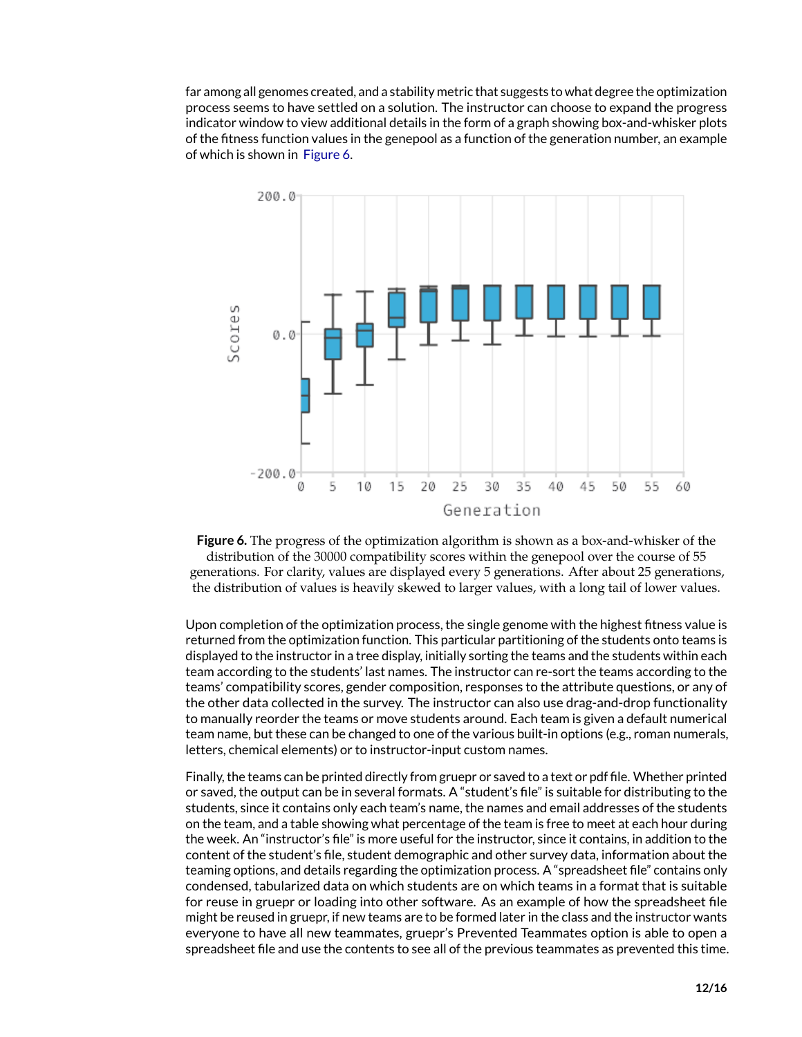far among all genomes created, and a stability metric that suggests to what degree the optimization process seems to have settled on a solution. The instructor can choose to expand the progress indicator window to view additional details in the form of a graph showing box-and-whisker plots of the fitness function values in the genepool as a function of the generation number, an example of which is shown in [Figure 6.](#page-11-0)



<span id="page-11-0"></span>

Upon completion of the optimization process, the single genome with the highest fitness value is returned from the optimization function. This particular partitioning of the students onto teams is displayed to the instructor in a tree display, initially sorting the teams and the students within each team according to the students' last names. The instructor can re-sort the teams according to the teams' compatibility scores, gender composition, responses to the attribute questions, or any of the other data collected in the survey. The instructor can also use drag-and-drop functionality to manually reorder the teams or move students around. Each team is given a default numerical team name, but these can be changed to one of the various built-in options (e.g., roman numerals, letters, chemical elements) or to instructor-input custom names.

Finally, the teams can be printed directly from gruepr or saved to a text or pdf file. Whether printed or saved, the output can be in several formats. A "student's file" is suitable for distributing to the students, since it contains only each team's name, the names and email addresses of the students on the team, and a table showing what percentage of the team is free to meet at each hour during the week. An "instructor's file" is more useful for the instructor, since it contains, in addition to the content of the student's file, student demographic and other survey data, information about the teaming options, and details regarding the optimization process. A "spreadsheet file" contains only condensed, tabularized data on which students are on which teams in a format that is suitable for reuse in gruepr or loading into other software. As an example of how the spreadsheet file might be reused in gruepr, if new teams are to be formed later in the class and the instructor wants everyone to have all new teammates, gruepr's Prevented Teammates option is able to open a spreadsheet file and use the contents to see all of the previous teammates as prevented this time.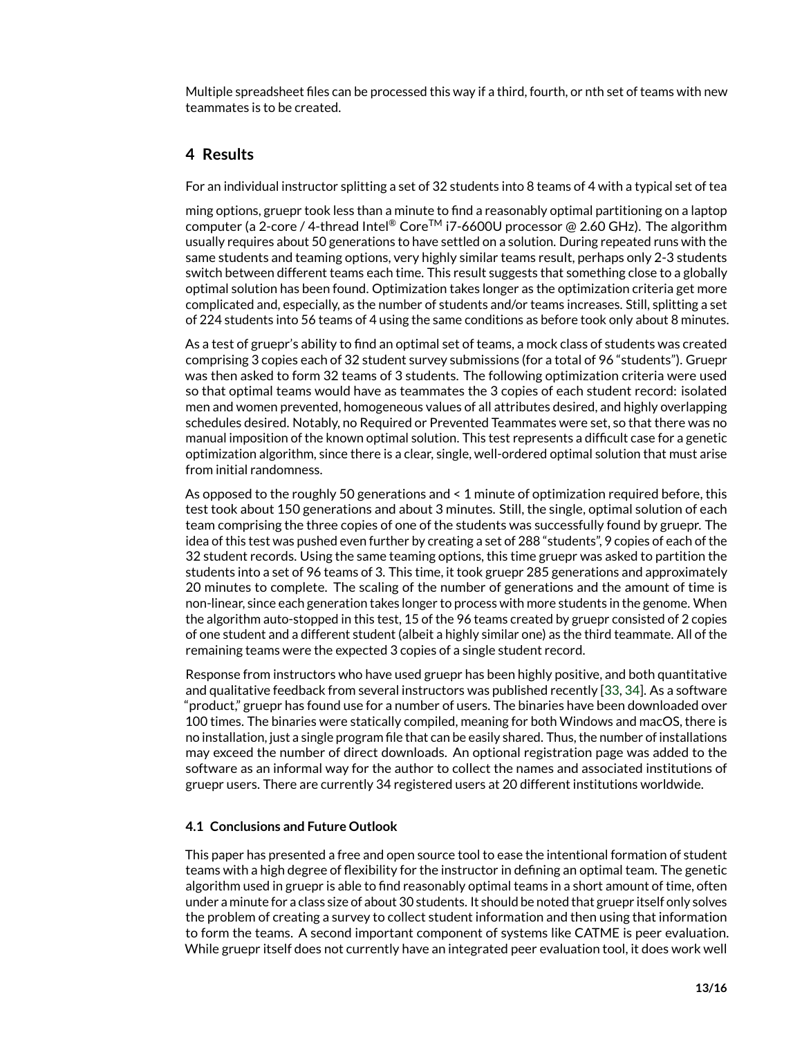Multiple spreadsheet files can be processed this way if a third, fourth, or nth set of teams with new teammates is to be created.

# **4 Results**

For an individual instructor splitting a set of 32 students into 8 teams of 4 with a typical set of tea

ming options, gruepr took less than a minute to find a reasonably optimal partitioning on a laptop computer (a 2-core / 4-thread Intel® Core<sup>TM</sup> i7-6600U processor @ 2.60 GHz). The algorithm usually requires about 50 generations to have settled on a solution. During repeated runs with the same students and teaming options, very highly similar teams result, perhaps only 2-3 students switch between different teams each time. This result suggests that something close to a globally optimal solution has been found. Optimization takes longer as the optimization criteria get more complicated and, especially, as the number of students and/or teams increases. Still, splitting a set of 224 students into 56 teams of 4 using the same conditions as before took only about 8 minutes.

As a test of gruepr's ability to find an optimal set of teams, a mock class of students was created comprising 3 copies each of 32 student survey submissions (for a total of 96 "students"). Gruepr was then asked to form 32 teams of 3 students. The following optimization criteria were used so that optimal teams would have as teammates the 3 copies of each student record: isolated men and women prevented, homogeneous values of all attributes desired, and highly overlapping schedules desired. Notably, no Required or Prevented Teammates were set, so that there was no manual imposition of the known optimal solution. This test represents a difficult case for a genetic optimization algorithm, since there is a clear, single, well-ordered optimal solution that must arise from initial randomness.

As opposed to the roughly 50 generations and < 1 minute of optimization required before, this test took about 150 generations and about 3 minutes. Still, the single, optimal solution of each team comprising the three copies of one of the students was successfully found by gruepr. The idea of this test was pushed even further by creating a set of 288 "students", 9 copies of each of the 32 student records. Using the same teaming options, this time gruepr was asked to partition the students into a set of 96 teams of 3. This time, it took gruepr 285 generations and approximately 20 minutes to complete. The scaling of the number of generations and the amount of time is non-linear, since each generation takes longer to process with more students in the genome. When the algorithm auto-stopped in this test, 15 of the 96 teams created by gruepr consisted of 2 copies of one student and a different student (albeit a highly similar one) as the third teammate. All of the remaining teams were the expected 3 copies of a single student record.

Response from instructors who have used gruepr has been highly positive, and both quantitative and qualitative feedback from several instructors was published recently [\[33,](#page-15-7) [34\]](#page-15-8). As a software "product," gruepr has found use for a number of users. The binaries have been downloaded over 100 times. The binaries were statically compiled, meaning for both Windows and macOS, there is no installation, just a single program file that can be easily shared. Thus, the number of installations may exceed the number of direct downloads. An optional registration page was added to the software as an informal way for the author to collect the names and associated institutions of gruepr users. There are currently 34 registered users at 20 different institutions worldwide.

#### **4.1 Conclusions and Future Outlook**

This paper has presented a free and open source tool to ease the intentional formation of student teams with a high degree of flexibility for the instructor in defining an optimal team. The genetic algorithm used in gruepr is able to find reasonably optimal teams in a short amount of time, often under a minute for a class size of about 30 students. It should be noted that gruepr itself only solves the problem of creating a survey to collect student information and then using that information to form the teams. A second important component of systems like CATME is peer evaluation. While gruepr itself does not currently have an integrated peer evaluation tool, it does work well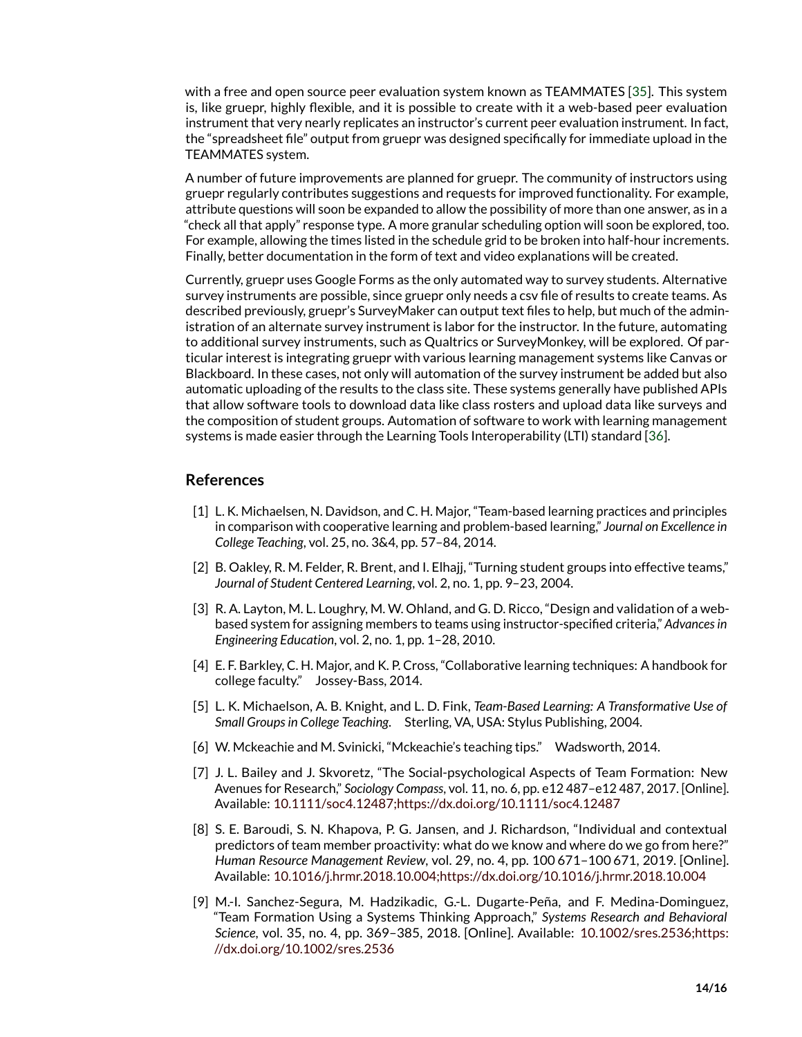with a free and open source peer evaluation system known as TEAMMATES [\[35\]](#page-15-9). This system is, like gruepr, highly flexible, and it is possible to create with it a web-based peer evaluation instrument that very nearly replicates an instructor's current peer evaluation instrument. In fact, the "spreadsheet file" output from gruepr was designed specifically for immediate upload in the TEAMMATES system.

A number of future improvements are planned for gruepr. The community of instructors using gruepr regularly contributes suggestions and requests for improved functionality. For example, attribute questions will soon be expanded to allow the possibility of more than one answer, as in a "check all that apply" response type. A more granular scheduling option will soon be explored, too. For example, allowing the times listed in the schedule grid to be broken into half-hour increments. Finally, better documentation in the form of text and video explanations will be created.

Currently, gruepr uses Google Forms as the only automated way to survey students. Alternative survey instruments are possible, since gruepr only needs a csv file of results to create teams. As described previously, gruepr's SurveyMaker can output text files to help, but much of the administration of an alternate survey instrument is labor for the instructor. In the future, automating to additional survey instruments, such as Qualtrics or SurveyMonkey, will be explored. Of particular interest is integrating gruepr with various learning management systems like Canvas or Blackboard. In these cases, not only will automation of the survey instrument be added but also automatic uploading of the results to the class site. These systems generally have published APIs that allow software tools to download data like class rosters and upload data like surveys and the composition of student groups. Automation of software to work with learning management systems is made easier through the Learning Tools Interoperability (LTI) standard [\[36\]](#page-15-10).

### **References**

- <span id="page-13-0"></span>[1] L. K. Michaelsen, N. Davidson, and C. H. Major, "Team-based learning practices and principles in comparison with cooperative learning and problem-based learning," *Journal on Excellence in College Teaching*, vol. 25, no. 3&4, pp. 57–84, 2014.
- <span id="page-13-1"></span>[2] B. Oakley, R. M. Felder, R. Brent, and I. Elhajj, "Turning student groups into effective teams," *Journal of Student Centered Learning*, vol. 2, no. 1, pp. 9–23, 2004.
- <span id="page-13-4"></span>[3] R. A. Layton, M. L. Loughry, M. W. Ohland, and G. D. Ricco, "Design and validation of a webbased system for assigning members to teams using instructor-specified criteria," *Advances in Engineering Education*, vol. 2, no. 1, pp. 1–28, 2010.
- [4] E. F. Barkley, C. H. Major, and K. P. Cross, "Collaborative learning techniques: A handbook for college faculty." Jossey-Bass, 2014.
- [5] L. K. Michaelson, A. B. Knight, and L. D. Fink, *Team-Based Learning: A Transformative Use of Small Groups in College Teaching*. Sterling, VA, USA: Stylus Publishing, 2004.
- <span id="page-13-2"></span>[6] W. Mckeachie and M. Svinicki, "Mckeachie's teaching tips." Wadsworth, 2014.
- <span id="page-13-3"></span>[7] J. L. Bailey and J. Skvoretz, "The Social-psychological Aspects of Team Formation: New Avenues for Research," *Sociology Compass*, vol. 11, no. 6, pp. e12 487–e12 487, 2017. [Online]. Available: [10.1111/soc4.12487;https://dx.doi.org/10.1111/soc4.12487](10.1111/soc4.12487; https://dx.doi.org/10.1111/soc4.12487)
- [8] S. E. Baroudi, S. N. Khapova, P. G. Jansen, and J. Richardson, "Individual and contextual predictors of team member proactivity: what do we know and where do we go from here?" *Human Resource Management Review*, vol. 29, no. 4, pp. 100 671–100 671, 2019. [Online]. Available: [10.1016/j.hrmr.2018.10.004;https://dx.doi.org/10.1016/j.hrmr.2018.10.004](10.1016/j.hrmr.2018.10.004; https://dx.doi.org/10.1016/j.hrmr.2018.10.004)
- [9] M.-I. Sanchez-Segura, M. Hadzikadic, G.-L. Dugarte-Peña, and F. Medina-Dominguez, "Team Formation Using a Systems Thinking Approach," *Systems Research and Behavioral Science*, vol. 35, no. 4, pp. 369–385, 2018. [Online]. Available: [10.1002/sres.2536;https:](10.1002/sres.2536; https://dx.doi.org/10.1002/sres.2536) [//dx.doi.org/10.1002/sres.2536](10.1002/sres.2536; https://dx.doi.org/10.1002/sres.2536)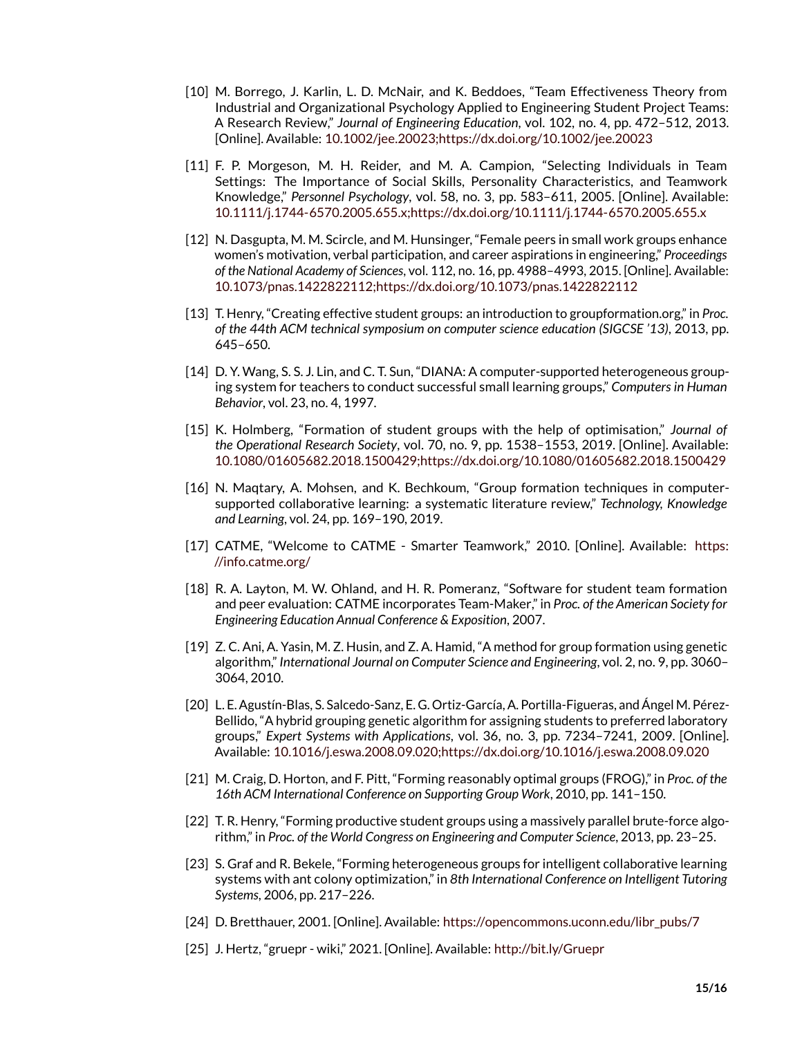- [10] M. Borrego, J. Karlin, L. D. McNair, and K. Beddoes, "Team Effectiveness Theory from Industrial and Organizational Psychology Applied to Engineering Student Project Teams: A Research Review," *Journal of Engineering Education*, vol. 102, no. 4, pp. 472–512, 2013. [Online]. Available: [10.1002/jee.20023;https://dx.doi.org/10.1002/jee.20023](10.1002/jee.20023; https://dx.doi.org/10.1002/jee.20023)
- [11] F. P. Morgeson, M. H. Reider, and M. A. Campion, "Selecting Individuals in Team Settings: The Importance of Social Skills, Personality Characteristics, and Teamwork Knowledge," *Personnel Psychology*, vol. 58, no. 3, pp. 583–611, 2005. [Online]. Available: [10.1111/j.1744-6570.2005.655.x;https://dx.doi.org/10.1111/j.1744-6570.2005.655.x](10.1111/j.1744-6570.2005.655.x; https://dx.doi.org/10.1111/j.1744-6570.2005.655.x)
- <span id="page-14-0"></span>[12] N. Dasgupta, M. M. Scircle, and M. Hunsinger, "Female peers in small work groups enhance women's motivation, verbal participation, and career aspirations in engineering," *Proceedings of the National Academy of Sciences*, vol. 112, no. 16, pp. 4988–4993, 2015. [Online]. Available: [10.1073/pnas.1422822112;https://dx.doi.org/10.1073/pnas.1422822112](10.1073/pnas.1422822112; https://dx.doi.org/10.1073/pnas.1422822112)
- <span id="page-14-1"></span>[13] T. Henry, "Creating effective student groups: an introduction to groupformation.org," in *Proc. of the 44th ACM technical symposium on computer science education (SIGCSE '13)*, 2013, pp. 645–650.
- [14] D. Y. Wang, S. S. J. Lin, and C. T. Sun, "DIANA: A computer-supported heterogeneous grouping system for teachers to conduct successful small learning groups," *Computers in Human Behavior*, vol. 23, no. 4, 1997.
- [15] K. Holmberg, "Formation of student groups with the help of optimisation," *Journal of the Operational Research Society*, vol. 70, no. 9, pp. 1538–1553, 2019. [Online]. Available: [10.1080/01605682.2018.1500429;https://dx.doi.org/10.1080/01605682.2018.1500429](10.1080/01605682.2018.1500429; https://dx.doi.org/10.1080/01605682.2018.1500429)
- <span id="page-14-2"></span>[16] N. Maqtary, A. Mohsen, and K. Bechkoum, "Group formation techniques in computersupported collaborative learning: a systematic literature review," *Technology, Knowledge and Learning*, vol. 24, pp. 169–190, 2019.
- <span id="page-14-3"></span>[17] CATME, "Welcome to CATME - Smarter Teamwork," 2010. [Online]. Available: [https:](https://info.catme.org/) [//info.catme.org/](https://info.catme.org/)
- <span id="page-14-4"></span>[18] R. A. Layton, M. W. Ohland, and H. R. Pomeranz, "Software for student team formation and peer evaluation: CATME incorporates Team-Maker," in *Proc. of the American Society for Engineering Education Annual Conference & Exposition*, 2007.
- <span id="page-14-5"></span>[19] Z. C. Ani, A. Yasin, M. Z. Husin, and Z. A. Hamid, "A method for group formation using genetic algorithm," *International Journal on Computer Science and Engineering*, vol. 2, no. 9, pp. 3060– 3064, 2010.
- <span id="page-14-6"></span>[20] L. E. Agustín-Blas, S. Salcedo-Sanz, E. G. Ortiz-García, A. Portilla-Figueras, and Ángel M. Pérez-Bellido, "A hybrid grouping genetic algorithm for assigning students to preferred laboratory groups," *Expert Systems with Applications*, vol. 36, no. 3, pp. 7234–7241, 2009. [Online]. Available: [10.1016/j.eswa.2008.09.020;https://dx.doi.org/10.1016/j.eswa.2008.09.020](10.1016/j.eswa.2008.09.020; https://dx.doi.org/10.1016/j.eswa.2008.09.020)
- <span id="page-14-7"></span>[21] M. Craig, D. Horton, and F. Pitt, "Forming reasonably optimal groups (FROG)," in *Proc. of the 16th ACM International Conference on Supporting Group Work*, 2010, pp. 141–150.
- <span id="page-14-8"></span>[22] T. R. Henry, "Forming productive student groups using a massively parallel brute-force algorithm," in *Proc. of the World Congress on Engineering and Computer Science*, 2013, pp. 23–25.
- <span id="page-14-9"></span>[23] S. Graf and R. Bekele, "Forming heterogeneous groups for intelligent collaborative learning systems with ant colony optimization," in *8th International Conference on Intelligent Tutoring Systems*, 2006, pp. 217–226.
- <span id="page-14-10"></span>[24] D. Bretthauer, 2001. [Online]. Available: [https://opencommons.uconn.edu/libr\\_pubs/7](https://opencommons.uconn.edu/libr_pubs/7)
- <span id="page-14-11"></span>[25] J. Hertz, "gruepr - wiki," 2021. [Online]. Available: <http://bit.ly/Gruepr>